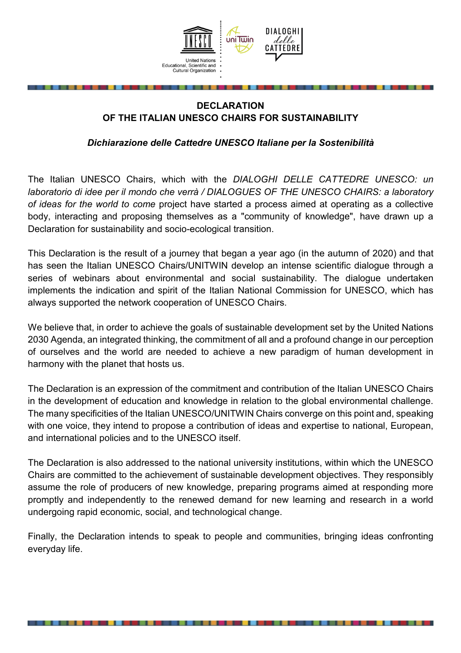

## **DECLARATION OF THE ITALIAN UNESCO CHAIRS FOR SUSTAINABILITY**

*Dichiarazione delle Cattedre UNESCO Italiane per la Sostenibilità* 

The Italian UNESCO Chairs, which with the *DIALOGHI DELLE CATTEDRE UNESCO: un laboratorio di idee per il mondo che verrà / DIALOGUES OF THE UNESCO CHAIRS: a laboratory of ideas for the world to come* project have started a process aimed at operating as a collective body, interacting and proposing themselves as a "community of knowledge", have drawn up a Declaration for sustainability and socio-ecological transition.

This Declaration is the result of a journey that began a year ago (in the autumn of 2020) and that has seen the Italian UNESCO Chairs/UNITWIN develop an intense scientific dialogue through a series of webinars about environmental and social sustainability. The dialogue undertaken implements the indication and spirit of the Italian National Commission for UNESCO, which has always supported the network cooperation of UNESCO Chairs.

We believe that, in order to achieve the goals of sustainable development set by the United Nations 2030 Agenda, an integrated thinking, the commitment of all and a profound change in our perception of ourselves and the world are needed to achieve a new paradigm of human development in harmony with the planet that hosts us.

The Declaration is an expression of the commitment and contribution of the Italian UNESCO Chairs in the development of education and knowledge in relation to the global environmental challenge. The many specificities of the Italian UNESCO/UNITWIN Chairs converge on this point and, speaking with one voice, they intend to propose a contribution of ideas and expertise to national, European, and international policies and to the UNESCO itself.

The Declaration is also addressed to the national university institutions, within which the UNESCO Chairs are committed to the achievement of sustainable development objectives. They responsibly assume the role of producers of new knowledge, preparing programs aimed at responding more promptly and independently to the renewed demand for new learning and research in a world undergoing rapid economic, social, and technological change.

Finally, the Declaration intends to speak to people and communities, bringing ideas confronting everyday life.

. . . . . . .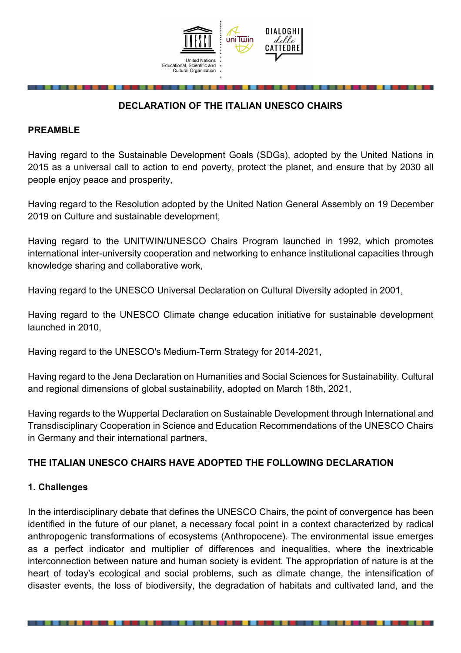

# **DECLARATION OF THE ITALIAN UNESCO CHAIRS**

#### **PREAMBLE**

Having regard to the Sustainable Development Goals (SDGs), adopted by the United Nations in 2015 as a universal call to action to end poverty, protect the planet, and ensure that by 2030 all people enjoy peace and prosperity,

Having regard to the Resolution adopted by the United Nation General Assembly on 19 December 2019 on Culture and sustainable development,

Having regard to the UNITWIN/UNESCO Chairs Program launched in 1992, which promotes international inter-university cooperation and networking to enhance institutional capacities through knowledge sharing and collaborative work,

Having regard to the UNESCO Universal Declaration on Cultural Diversity adopted in 2001,

Having regard to the UNESCO Climate change education initiative for sustainable development launched in 2010,

Having regard to the UNESCO's Medium-Term Strategy for 2014-2021,

Having regard to the Jena Declaration on Humanities and Social Sciences for Sustainability. Cultural and regional dimensions of global sustainability, adopted on March 18th, 2021,

Having regards to the Wuppertal Declaration on Sustainable Development through International and Transdisciplinary Cooperation in Science and Education Recommendations of the UNESCO Chairs in Germany and their international partners,

#### **THE ITALIAN UNESCO CHAIRS HAVE ADOPTED THE FOLLOWING DECLARATION**

#### **1. Challenges**

In the interdisciplinary debate that defines the UNESCO Chairs, the point of convergence has been identified in the future of our planet, a necessary focal point in a context characterized by radical anthropogenic transformations of ecosystems (Anthropocene). The environmental issue emerges as a perfect indicator and multiplier of differences and inequalities, where the inextricable interconnection between nature and human society is evident. The appropriation of nature is at the heart of today's ecological and social problems, such as climate change, the intensification of disaster events, the loss of biodiversity, the degradation of habitats and cultivated land, and the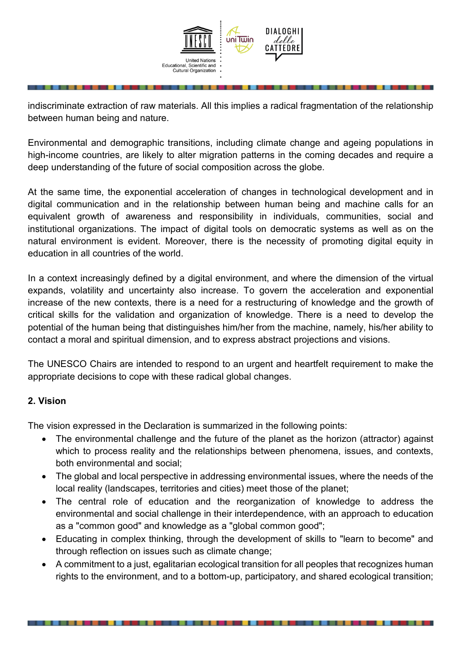

indiscriminate extraction of raw materials. All this implies a radical fragmentation of the relationship between human being and nature.

Environmental and demographic transitions, including climate change and ageing populations in high-income countries, are likely to alter migration patterns in the coming decades and require a deep understanding of the future of social composition across the globe.

At the same time, the exponential acceleration of changes in technological development and in digital communication and in the relationship between human being and machine calls for an equivalent growth of awareness and responsibility in individuals, communities, social and institutional organizations. The impact of digital tools on democratic systems as well as on the natural environment is evident. Moreover, there is the necessity of promoting digital equity in education in all countries of the world.

In a context increasingly defined by a digital environment, and where the dimension of the virtual expands, volatility and uncertainty also increase. To govern the acceleration and exponential increase of the new contexts, there is a need for a restructuring of knowledge and the growth of critical skills for the validation and organization of knowledge. There is a need to develop the potential of the human being that distinguishes him/her from the machine, namely, his/her ability to contact a moral and spiritual dimension, and to express abstract projections and visions.

The UNESCO Chairs are intended to respond to an urgent and heartfelt requirement to make the appropriate decisions to cope with these radical global changes.

#### **2. Vision**

The vision expressed in the Declaration is summarized in the following points:

- The environmental challenge and the future of the planet as the horizon (attractor) against which to process reality and the relationships between phenomena, issues, and contexts, both environmental and social;
- The global and local perspective in addressing environmental issues, where the needs of the local reality (landscapes, territories and cities) meet those of the planet;
- The central role of education and the reorganization of knowledge to address the environmental and social challenge in their interdependence, with an approach to education as a "common good" and knowledge as a "global common good";
- Educating in complex thinking, through the development of skills to "learn to become" and through reflection on issues such as climate change;
- A commitment to a just, egalitarian ecological transition for all peoples that recognizes human rights to the environment, and to a bottom-up, participatory, and shared ecological transition;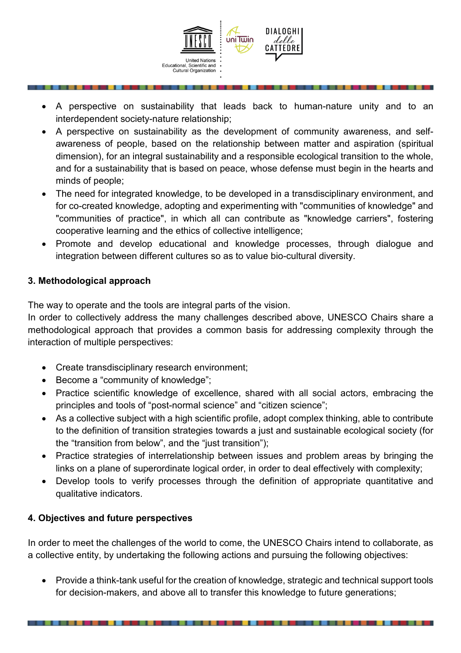

- A perspective on sustainability that leads back to human-nature unity and to an interdependent society-nature relationship;
- A perspective on sustainability as the development of community awareness, and selfawareness of people, based on the relationship between matter and aspiration (spiritual dimension), for an integral sustainability and a responsible ecological transition to the whole, and for a sustainability that is based on peace, whose defense must begin in the hearts and minds of people;
- The need for integrated knowledge, to be developed in a transdisciplinary environment, and for co-created knowledge, adopting and experimenting with "communities of knowledge" and "communities of practice", in which all can contribute as "knowledge carriers", fostering cooperative learning and the ethics of collective intelligence;
- Promote and develop educational and knowledge processes, through dialogue and integration between different cultures so as to value bio-cultural diversity.

## **3. Methodological approach**

The way to operate and the tools are integral parts of the vision.

In order to collectively address the many challenges described above, UNESCO Chairs share a methodological approach that provides a common basis for addressing complexity through the interaction of multiple perspectives:

- Create transdisciplinary research environment;
- Become a "community of knowledge";
- Practice scientific knowledge of excellence, shared with all social actors, embracing the principles and tools of "post-normal science" and "citizen science";
- As a collective subject with a high scientific profile, adopt complex thinking, able to contribute to the definition of transition strategies towards a just and sustainable ecological society (for the "transition from below", and the "just transition");
- Practice strategies of interrelationship between issues and problem areas by bringing the links on a plane of superordinate logical order, in order to deal effectively with complexity;
- Develop tools to verify processes through the definition of appropriate quantitative and qualitative indicators.

## **4. Objectives and future perspectives**

In order to meet the challenges of the world to come, the UNESCO Chairs intend to collaborate, as a collective entity, by undertaking the following actions and pursuing the following objectives:

 Provide a think-tank useful for the creation of knowledge, strategic and technical support tools for decision-makers, and above all to transfer this knowledge to future generations;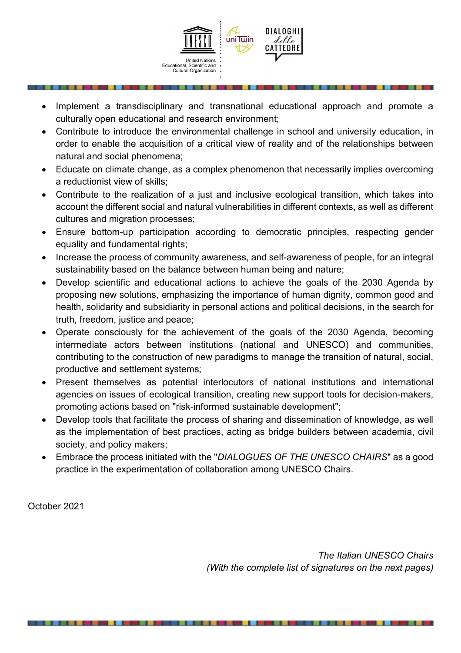

- Implement a transdisciplinary and transnational educational approach and promote a culturally open educational and research environment;
- Contribute to introduce the environmental challenge in school and university education, in order to enable the acquisition of a critical view of reality and of the relationships between natural and social phenomena;
- Educate on climate change, as a complex phenomenon that necessarily implies overcoming a reductionist view of skills;
- Contribute to the realization of a just and inclusive ecological transition, which takes into account the different social and natural vulnerabilities in different contexts, as well as different cultures and migration processes;
- Ensure bottom-up participation according to democratic principles, respecting gender equality and fundamental rights;
- Increase the process of community awareness, and self-awareness of people, for an integral sustainability based on the balance between human being and nature;
- Develop scientific and educational actions to achieve the goals of the 2030 Agenda by proposing new solutions, emphasizing the importance of human dignity, common good and health, solidarity and subsidiarity in personal actions and political decisions, in the search for truth, freedom, justice and peace;
- Operate consciously for the achievement of the goals of the 2030 Agenda, becoming intermediate actors between institutions (national and UNESCO) and communities, contributing to the construction of new paradigms to manage the transition of natural, social, productive and settlement systems;
- Present themselves as potential interlocutors of national institutions and international agencies on issues of ecological transition, creating new support tools for decision-makers, promoting actions based on "risk-informed sustainable development";
- Develop tools that facilitate the process of sharing and dissemination of knowledge, as well as the implementation of best practices, acting as bridge builders between academia, civil society, and policy makers;
- Embrace the process initiated with the "*DIALOGUES OF THE UNESCO CHAIRS*" as a good practice in the experimentation of collaboration among UNESCO Chairs.

October 2021

*The Italian UNESCO Chairs (With the complete list of signatures on the next pages)*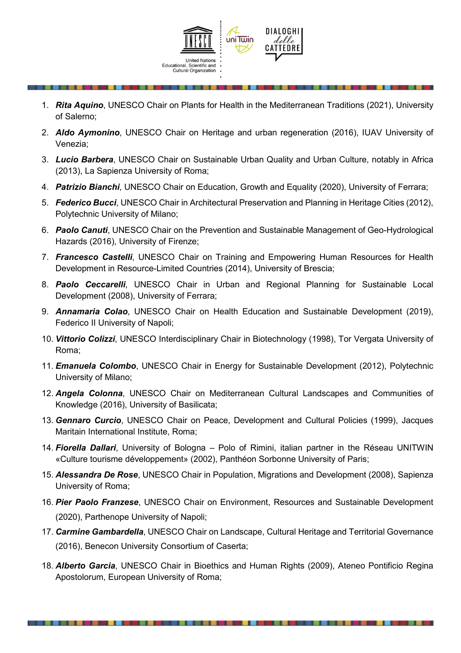

- 1. *Rita Aquino*, UNESCO Chair on Plants for Health in the Mediterranean Traditions (2021), University of Salerno;
- 2. *Aldo Aymonino*, UNESCO Chair on Heritage and urban regeneration (2016), IUAV University of Venezia;
- 3. *Lucio Barbera*, UNESCO Chair on Sustainable Urban Quality and Urban Culture, notably in Africa (2013), La Sapienza University of Roma;
- 4. *Patrizio Bianchi*, UNESCO Chair on Education, Growth and Equality (2020), University of Ferrara;
- 5. *Federico Bucci*, UNESCO Chair in Architectural Preservation and Planning in Heritage Cities (2012), Polytechnic University of Milano;
- 6. *Paolo Canuti*, UNESCO Chair on the Prevention and Sustainable Management of Geo-Hydrological Hazards (2016), University of Firenze;
- 7. *Francesco Castelli*, UNESCO Chair on Training and Empowering Human Resources for Health Development in Resource-Limited Countries (2014), University of Brescia;
- 8. *Paolo Ceccarelli*, UNESCO Chair in Urban and Regional Planning for Sustainable Local Development (2008), University of Ferrara;
- 9. *Annamaria Colao*, UNESCO Chair on Health Education and Sustainable Development (2019), Federico II University of Napoli;
- 10. *Vittorio Colizzi*, UNESCO Interdisciplinary Chair in Biotechnology (1998), Tor Vergata University of Roma;
- 11. *Emanuela Colombo*, UNESCO Chair in Energy for Sustainable Development (2012), Polytechnic University of Milano;
- 12. *Angela Colonna*, UNESCO Chair on Mediterranean Cultural Landscapes and Communities of Knowledge (2016), University of Basilicata;
- 13. *Gennaro Curcio*, UNESCO Chair on Peace, Development and Cultural Policies (1999), Jacques Maritain International Institute, Roma;
- 14. *Fiorella Dallari*, University of Bologna Polo of Rimini, italian partner in the Réseau UNITWIN «Culture tourisme développement» (2002), Panthéon Sorbonne University of Paris;
- 15. *Alessandra De Rose*, UNESCO Chair in Population, Migrations and Development (2008), Sapienza University of Roma;
- 16. *Pier Paolo Franzese*, UNESCO Chair on Environment, Resources and Sustainable Development (2020), Parthenope University of Napoli;
- 17. *Carmine Gambardella*, UNESCO Chair on Landscape, Cultural Heritage and Territorial Governance (2016), Benecon University Consortium of Caserta;
- 18. *Alberto Garcia*, UNESCO Chair in Bioethics and Human Rights (2009), Ateneo Pontificio Regina Apostolorum, European University of Roma;